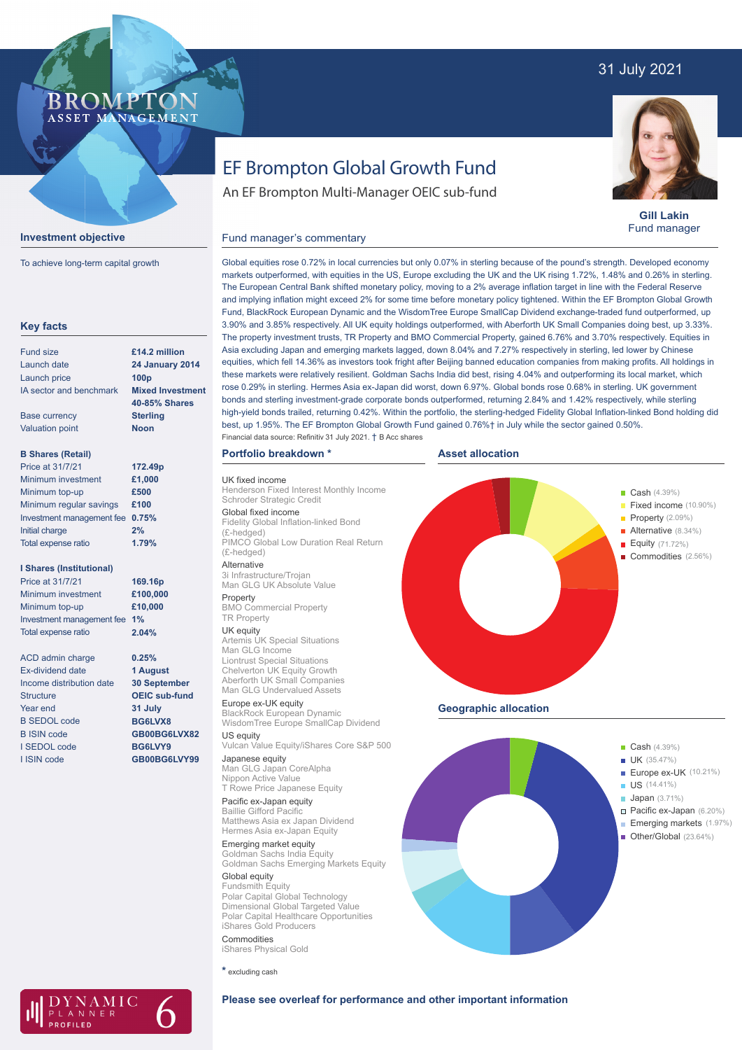### 31 July 2021

#### **BROMPTO** ASSET MANAGEMENT

## **Investment objective**

To achieve long-term capital growth

| Key facts                       |                                                 |
|---------------------------------|-------------------------------------------------|
| <b>Fund size</b><br>Launch date | £14.2 million<br><b>24 January 2014</b>         |
| Launch price                    | 100 <sub>p</sub>                                |
| <b>IA sector and benchmark</b>  | <b>Mixed Investment</b><br><b>40-85% Shares</b> |
| <b>Base currency</b>            | <b>Sterling</b>                                 |
| <b>Valuation point</b>          | <b>Noon</b>                                     |
| <b>B Shares (Retail)</b>        |                                                 |
| Price at 31/7/21                | 172.49p                                         |
| Minimum investment              | £1,000                                          |
| Minimum top-up                  | £500                                            |
| Minimum regular savings         | £100                                            |
| Investment management fee       | 0.75%                                           |
| <b>Initial charge</b>           | 2%                                              |
| Total expense ratio             | 1.79%                                           |
| <b>I Shares (Institutional)</b> |                                                 |
| Price at 31/7/21                | 169.16p                                         |
| Minimum investment              | £100,000                                        |
| Minimum top-up                  | £10,000                                         |
| Investment management fee       | 1%                                              |
| Total expense ratio             | 2.04%                                           |
| <b>ACD admin charge</b>         | 0.25%                                           |
| <b>Ex-dividend date</b>         | 1 August                                        |
| Income distribution date        | <b>30 September</b>                             |
| <b>Structure</b>                | <b>OEIC sub-fund</b>                            |
| Year end                        | 31 July                                         |
| <b>B SEDOL code</b>             | BG6LVX8                                         |
| <b>B ISIN code</b>              | GB00BG6LVX82                                    |
| <b>I SEDOL code</b>             | BG6LVY9                                         |
| I ISIN code                     | GB00BG6LVY99                                    |
|                                 |                                                 |

### EF Brompton Global Growth Fund

An EF Brompton Multi-Manager OEIC sub-fund



**Gill Lakin** Fund manager

Fixed income (10.90%)

Alternative (8.34%) Equity (71.72%) Commodities (2.56%)

# Fund manager's commentary

Global equities rose 0.72% in local currencies but only 0.07% in sterling because of the pound's strength. Developed economy markets outperformed, with equities in the US. Europe excluding the UK and the UK rising 1.72%, 1.48% and 0.26% in sterling. The European Central Bank shifted monetary policy, moving to a 2% average inflation target in line with the Federal Reserve and implying inflation might exceed 2% for some time before monetary policy tightened. Within the EF Brompton Global Growth Fund, BlackRock European Dynamic and the WisdomTree Europe SmallCap Dividend exchange-traded fund outperformed, up 3.90% and 3.85% respectively. All UK equity holdings outperformed, with Aberforth UK Small Companies doing best, up 3.33%. The property investment trusts, TR Property and BMO Commercial Property, gained 6.76% and 3.70% respectively. Equities in Asia excluding Japan and emerging markets lagged, down 8.04% and 7.27% respectively in sterling, led lower by Chinese equities, which fell 14.36% as investors took fright after Beijing banned education companies from making profits. All holdings in these markets were relatively resilient. Goldman Sachs India did best, rising 4.04% and outperforming its local market, which rose 0.29% in sterling. Hermes Asia ex-Japan did worst, down 6.97%. Global bonds rose 0.68% in sterling. UK government bonds and sterling investment-grade corporate bonds outperformed, returning 2.84% and 1.42% respectively, while sterling high-yield bonds trailed, returning 0.42%. Within the portfolio, the sterling-hedged Fidelity Global Inflation-linked Bond holding did best, up 1.95%. The EF Brompton Global Growth Fund gained 0.76%† in July while the sector gained 0.50%. Financial data source: Refinitiv 31 July 2021. † B Acc shares

**Asset allocation**

#### **Portfolio breakdown \***

UK fixed income

Henderson Fixed Interest Monthly Income Schroder Strategic Credit Global fixed income Fidelity Global Inflation-linked Bond (£-hedged)

PIMCO Global Low Duration Real Return (£-hedged) Alternative

3i Infrastructure/Trojan Man GLG UK Absolute Value

Property BMO Commercial Property

#### TR Property

**UK equity**<br>Artemis UK Special Situations Man GLG Income Liontrust Special Situations Chelverton UK Equity Growth Aberforth UK Small Companies Man GLG Undervalued Assets

Europe ex-UK equity BlackRock European Dynamic WisdomTree Europe SmallCap Dividend US equity

Vulcan Value Equity/iShares Core S&P 500 Japanese equity

Man GLG Japan CoreAlpha Nippon Active Value T Rowe Price Japanese Equity Pacific ex-Japan equity

Baillie Gifford Pacific Matthews Asia ex Japan Dividend Hermes Asia ex-Japan Equity

Emerging market equity Goldman Sachs India Equity Goldman Sachs Emerging Markets Equity

#### Global equity

Fundsmith Equity Polar Capital Global Technology Dimensional Global Targeted Value Polar Capital Healthcare Opportunities iShares Gold Producers Commodities

iShares Physical Gold

**\*** excluding cash



### **Please see overleaf for performance and other important information**



<mark>4</mark> Cash (4.39%)

**Property** (2.09%)